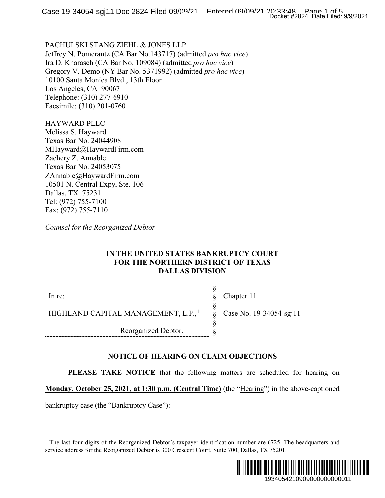PACHULSKI STANG ZIEHL & JONES LLP Jeffrey N. Pomerantz (CA Bar No.143717) (admitted *pro hac vice*) Ira D. Kharasch (CA Bar No. 109084) (admitted *pro hac vice*) Gregory V. Demo (NY Bar No. 5371992) (admitted *pro hac vice*) 10100 Santa Monica Blvd., 13th Floor Los Angeles, CA 90067 Telephone: (310) 277-6910 Facsimile: (310) 201-0760

HAYWARD PLLC Melissa S. Hayward Texas Bar No. 24044908 MHayward@HaywardFirm.com Zachery Z. Annable Texas Bar No. 24053075 ZAnnable@HaywardFirm.com 10501 N. Central Expy, Ste. 106 Dallas, TX 75231 Tel: (972) 755-7100 Fax: (972) 755-7110

*Counsel for the Reorganized Debtor*

## **IN THE UNITED STATES BANKRUPTCY COURT FOR THE NORTHERN DISTRICT OF TEXAS DALLAS DIVISION**

In re:

Chapter 11

Case No. 19-34054-sgj11

§ § § § § §

HIGHLAND CAPITAL MANAGEMENT, L.P.,<sup>[1](#page-0-0)</sup>

Reorganized Debtor.

## **NOTICE OF HEARING ON CLAIM OBJECTIONS**

**PLEASE TAKE NOTICE** that the following matters are scheduled for hearing on

**Monday, October 25, 2021, at 1:30 p.m. (Central Time)** (the "Hearing") in the above-captioned

<span id="page-0-0"></span>bankruptcy case (the "Bankruptcy Case"):

<sup>&</sup>lt;sup>1</sup> The last four digits of the Reorganized Debtor's taxpayer identification number are  $6725$ . The headquarters and service address for the Reorganized Debtor is 300 Crescent Court, Suite 700, Dallas, TX 75201.

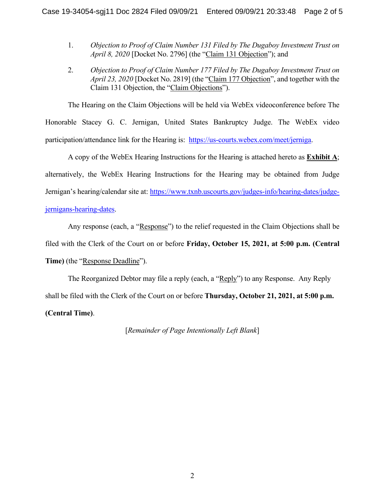- 1. *Objection to Proof of Claim Number 131 Filed by The Dugaboy Investment Trust on April 8, 2020* [Docket No. 2796] (the "Claim 131 Objection"); and
- 2. *Objection to Proof of Claim Number 177 Filed by The Dugaboy Investment Trust on April 23, 2020* [Docket No. 2819] (the "Claim 177 Objection", and together with the Claim 131 Objection, the "Claim Objections").

The Hearing on the Claim Objections will be held via WebEx videoconference before The

Honorable Stacey G. C. Jernigan, United States Bankruptcy Judge. The WebEx video participation/attendance link for the Hearing is: [https://us-courts.webex.com/meet/jerniga.](https://us-courts.webex.com/meet/jerniga)

A copy of the WebEx Hearing Instructions for the Hearing is attached hereto as **Exhibit A**; alternatively, the WebEx Hearing Instructions for the Hearing may be obtained from Judge Jernigan's hearing/calendar site at: [https://www.txnb.uscourts.gov/judges-info/hearing-dates/judge](https://www.txnb.uscourts.gov/judges-info/hearing-dates/judge-jernigans-hearing-dates)[jernigans-hearing-dates.](https://www.txnb.uscourts.gov/judges-info/hearing-dates/judge-jernigans-hearing-dates)

Any response (each, a "Response") to the relief requested in the Claim Objections shall be filed with the Clerk of the Court on or before **Friday, October 15, 2021, at 5:00 p.m. (Central Time)** (the "Response Deadline").

The Reorganized Debtor may file a reply (each, a "Reply") to any Response. Any Reply shall be filed with the Clerk of the Court on or before **Thursday, October 21, 2021, at 5:00 p.m. (Central Time)**.

[*Remainder of Page Intentionally Left Blank*]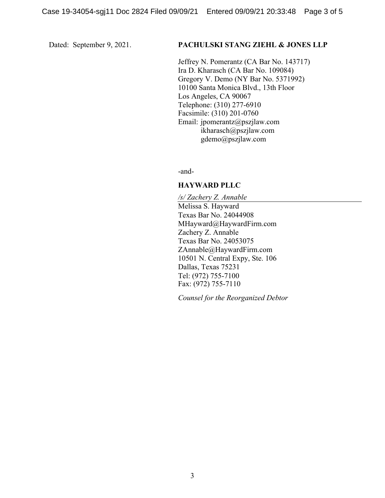#### Dated: September 9, 2021. **PACHULSKI STANG ZIEHL & JONES LLP**

Jeffrey N. Pomerantz (CA Bar No. 143717) Ira D. Kharasch (CA Bar No. 109084) Gregory V. Demo (NY Bar No. 5371992) 10100 Santa Monica Blvd., 13th Floor Los Angeles, CA 90067 Telephone: (310) 277-6910 Facsimile: (310) 201-0760 Email: jpomerantz@pszjlaw.com ikharasch@pszjlaw.com gdemo@pszjlaw.com

-and-

#### **HAYWARD PLLC**

*/s/ Zachery Z. Annable* Melissa S. Hayward Texas Bar No. 24044908 MHayward@HaywardFirm.com Zachery Z. Annable Texas Bar No. 24053075 ZAnnable@HaywardFirm.com 10501 N. Central Expy, Ste. 106 Dallas, Texas 75231 Tel: (972) 755-7100 Fax: (972) 755-7110

*Counsel for the Reorganized Debtor*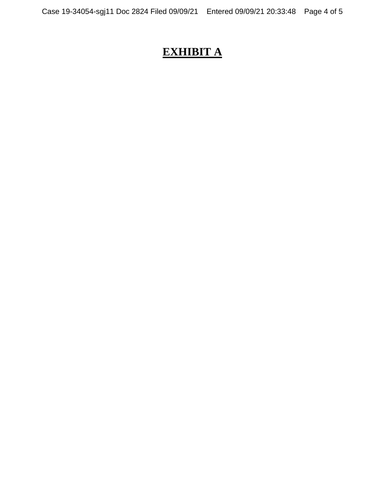# **EXHIBIT A**